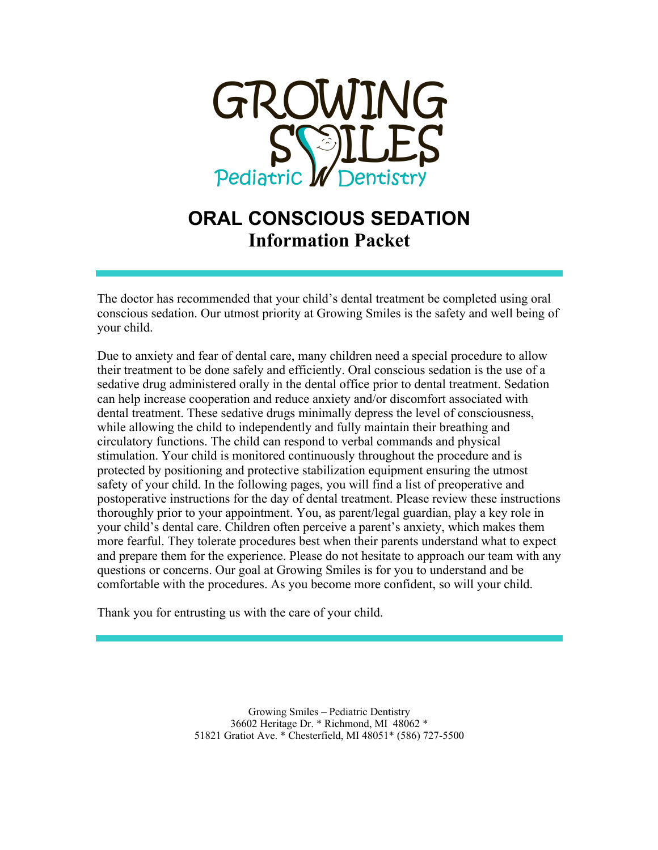

# **ORAL CONSCIOUS SEDATION Information Packet**

The doctor has recommended that your child's dental treatment be completed using oral conscious sedation. Our utmost priority at Growing Smiles is the safety and well being of your child.

Due to anxiety and fear of dental care, many children need a special procedure to allow their treatment to be done safely and efficiently. Oral conscious sedation is the use of a sedative drug administered orally in the dental office prior to dental treatment. Sedation can help increase cooperation and reduce anxiety and/or discomfort associated with dental treatment. These sedative drugs minimally depress the level of consciousness, while allowing the child to independently and fully maintain their breathing and circulatory functions. The child can respond to verbal commands and physical stimulation. Your child is monitored continuously throughout the procedure and is protected by positioning and protective stabilization equipment ensuring the utmost safety of your child. In the following pages, you will find a list of preoperative and postoperative instructions for the day of dental treatment. Please review these instructions thoroughly prior to your appointment. You, as parent/legal guardian, play a key role in your child's dental care. Children often perceive a parent's anxiety, which makes them more fearful. They tolerate procedures best when their parents understand what to expect and prepare them for the experience. Please do not hesitate to approach our team with any questions or concerns. Our goal at Growing Smiles is for you to understand and be comfortable with the procedures. As you become more confident, so will your child.

Thank you for entrusting us with the care of your child.

Growing Smiles – Pediatric Dentistry 36602 Heritage Dr. \* Richmond, MI 48062 \* 51821 Gratiot Ave. \* Chesterfield, MI 48051\* (586) 727-5500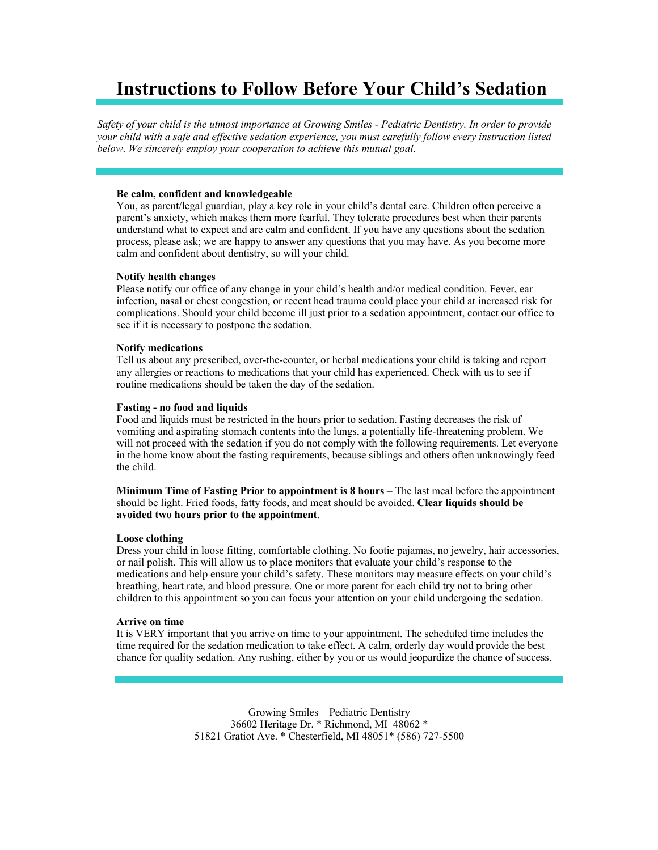# **Instructions to Follow Before Your Child's Sedation**

*Safety of your child is the utmost importance at Growing Smiles - Pediatric Dentistry. In order to provide your child with a safe and effective sedation experience, you must carefully follow every instruction listed below*. *We sincerely employ your cooperation to achieve this mutual goal.*

### **Be calm, confident and knowledgeable**

You, as parent/legal guardian, play a key role in your child's dental care. Children often perceive a parent's anxiety, which makes them more fearful. They tolerate procedures best when their parents understand what to expect and are calm and confident. If you have any questions about the sedation process, please ask; we are happy to answer any questions that you may have. As you become more calm and confident about dentistry, so will your child.

#### **Notify health changes**

Please notify our office of any change in your child's health and/or medical condition. Fever, ear infection, nasal or chest congestion, or recent head trauma could place your child at increased risk for complications. Should your child become ill just prior to a sedation appointment, contact our office to see if it is necessary to postpone the sedation.

#### **Notify medications**

Tell us about any prescribed, over-the-counter, or herbal medications your child is taking and report any allergies or reactions to medications that your child has experienced. Check with us to see if routine medications should be taken the day of the sedation.

#### **Fasting - no food and liquids**

Food and liquids must be restricted in the hours prior to sedation. Fasting decreases the risk of vomiting and aspirating stomach contents into the lungs, a potentially life-threatening problem. We will not proceed with the sedation if you do not comply with the following requirements. Let everyone in the home know about the fasting requirements, because siblings and others often unknowingly feed the child.

**Minimum Time of Fasting Prior to appointment is 8 hours** – The last meal before the appointment should be light. Fried foods, fatty foods, and meat should be avoided. **Clear liquids should be avoided two hours prior to the appointment**.

#### **Loose clothing**

Dress your child in loose fitting, comfortable clothing. No footie pajamas, no jewelry, hair accessories, or nail polish. This will allow us to place monitors that evaluate your child's response to the medications and help ensure your child's safety. These monitors may measure effects on your child's breathing, heart rate, and blood pressure. One or more parent for each child try not to bring other children to this appointment so you can focus your attention on your child undergoing the sedation.

### **Arrive on time**

It is VERY important that you arrive on time to your appointment. The scheduled time includes the time required for the sedation medication to take effect. A calm, orderly day would provide the best chance for quality sedation. Any rushing, either by you or us would jeopardize the chance of success.

> Growing Smiles – Pediatric Dentistry 36602 Heritage Dr. \* Richmond, MI 48062 \* 51821 Gratiot Ave. \* Chesterfield, MI 48051\* (586) 727-5500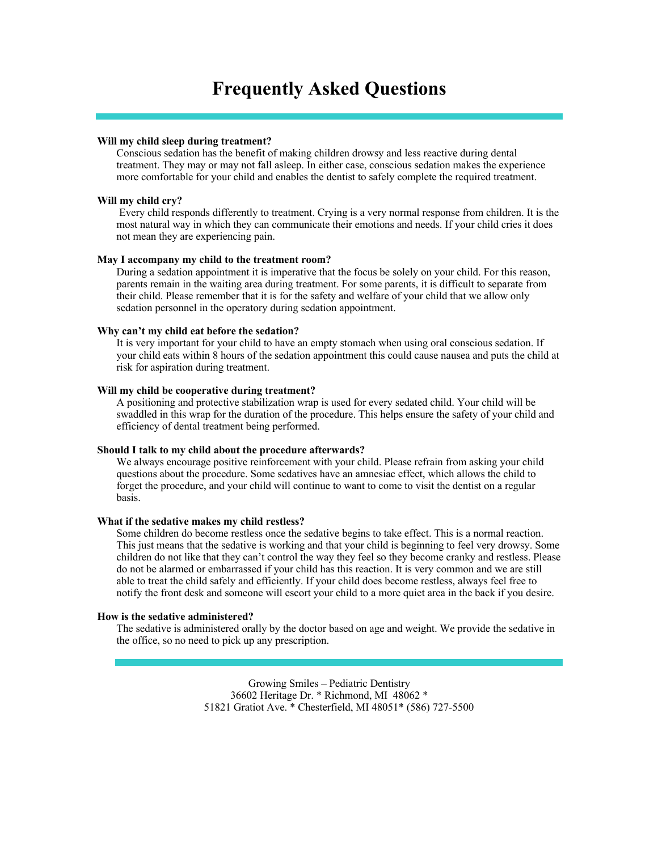## **Frequently Asked Questions**

#### **Will my child sleep during treatment?**

Conscious sedation has the benefit of making children drowsy and less reactive during dental treatment. They may or may not fall asleep. In either case, conscious sedation makes the experience more comfortable for your child and enables the dentist to safely complete the required treatment.

#### **Will my child cry?**

Every child responds differently to treatment. Crying is a very normal response from children. It is the most natural way in which they can communicate their emotions and needs. If your child cries it does not mean they are experiencing pain.

#### **May I accompany my child to the treatment room?**

During a sedation appointment it is imperative that the focus be solely on your child. For this reason, parents remain in the waiting area during treatment. For some parents, it is difficult to separate from their child. Please remember that it is for the safety and welfare of your child that we allow only sedation personnel in the operatory during sedation appointment.

#### **Why can't my child eat before the sedation?**

It is very important for your child to have an empty stomach when using oral conscious sedation. If your child eats within 8 hours of the sedation appointment this could cause nausea and puts the child at risk for aspiration during treatment.

#### **Will my child be cooperative during treatment?**

A positioning and protective stabilization wrap is used for every sedated child. Your child will be swaddled in this wrap for the duration of the procedure. This helps ensure the safety of your child and efficiency of dental treatment being performed.

#### **Should I talk to my child about the procedure afterwards?**

We always encourage positive reinforcement with your child. Please refrain from asking your child questions about the procedure. Some sedatives have an amnesiac effect, which allows the child to forget the procedure, and your child will continue to want to come to visit the dentist on a regular basis.

### **What if the sedative makes my child restless?**

Some children do become restless once the sedative begins to take effect. This is a normal reaction. This just means that the sedative is working and that your child is beginning to feel very drowsy. Some children do not like that they can't control the way they feel so they become cranky and restless. Please do not be alarmed or embarrassed if your child has this reaction. It is very common and we are still able to treat the child safely and efficiently. If your child does become restless, always feel free to notify the front desk and someone will escort your child to a more quiet area in the back if you desire.

#### **How is the sedative administered?**

The sedative is administered orally by the doctor based on age and weight. We provide the sedative in the office, so no need to pick up any prescription.

> Growing Smiles – Pediatric Dentistry 36602 Heritage Dr. \* Richmond, MI 48062 \* 51821 Gratiot Ave. \* Chesterfield, MI 48051\* (586) 727-5500